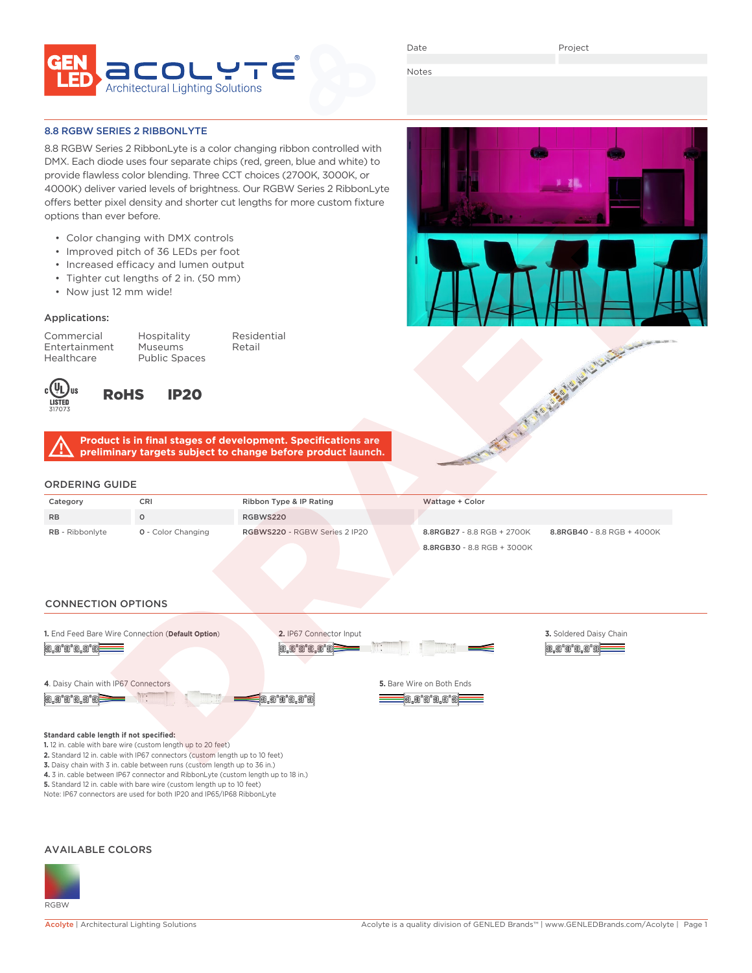

Date

Project

Notes

#### 8.8 RGBW SERIES 2 RIBBONLYTE

8.8 RGBW Series 2 RibbonLyte is a color changing ribbon controlled with DMX. Each diode uses four separate chips (red, green, blue and white) to provide flawless color blending. Three CCT choices (2700K, 3000K, or 4000K) deliver varied levels of brightness. Our RGBW Series 2 RibbonLyte offers better pixel density and shorter cut lengths for more custom fixture options than ever before.

- Color changing with DMX controls
- Improved pitch of 36 LEDs per foot
- Increased efficacy and lumen output
- Tighter cut lengths of 2 in. (50 mm)
- Now just 12 mm wide!

#### Applications:

Commercial Hospitality Residential Entertainment Museums Retail Healthcare Public Spaces



RoHS IP20

**Product is in final stages of development. Specifications are preliminary targets subject to change before product launch.**

## ORDERING GUIDE

| _ _ _ _ _ _ _          |                           |                               |                            |                            |  |  |
|------------------------|---------------------------|-------------------------------|----------------------------|----------------------------|--|--|
| Category               | CRI                       | Ribbon Type & IP Rating       | Wattage + Color            |                            |  |  |
| <b>RB</b>              |                           | RGBWS220                      |                            |                            |  |  |
| <b>RB</b> - Ribbonlyte | <b>Q</b> - Color Changing | RGBWS220 - RGBW Series 2 IP20 | 8.8RGB27 - 8.8 RGB + 2700K | 8.8RGB40 - 8.8 RGB + 4000K |  |  |
|                        |                           |                               | 8.8RGB30 - 8.8 RGB + 3000K |                            |  |  |

## CONNECTION OPTIONS



#### **Standard cable length if not specified:**

**1.** 12 in. cable with bare wire (custom length up to 20 feet)

**2.** Standard 12 in. cable with IP67 connectors (custom length up to 10 feet)

**3.** Daisy chain with 3 in. cable between runs (custom length up to 36 in.)

**4.** 3 in. cable between IP67 connector and RibbonLyte (custom length up to 18 in.) **5.** Standard 12 in. cable with bare wire (custom length up to 10 feet)

Note: IP67 connectors are used for both IP20 and IP65/IP68 RibbonLyte

#### AVAILABLE COLORS



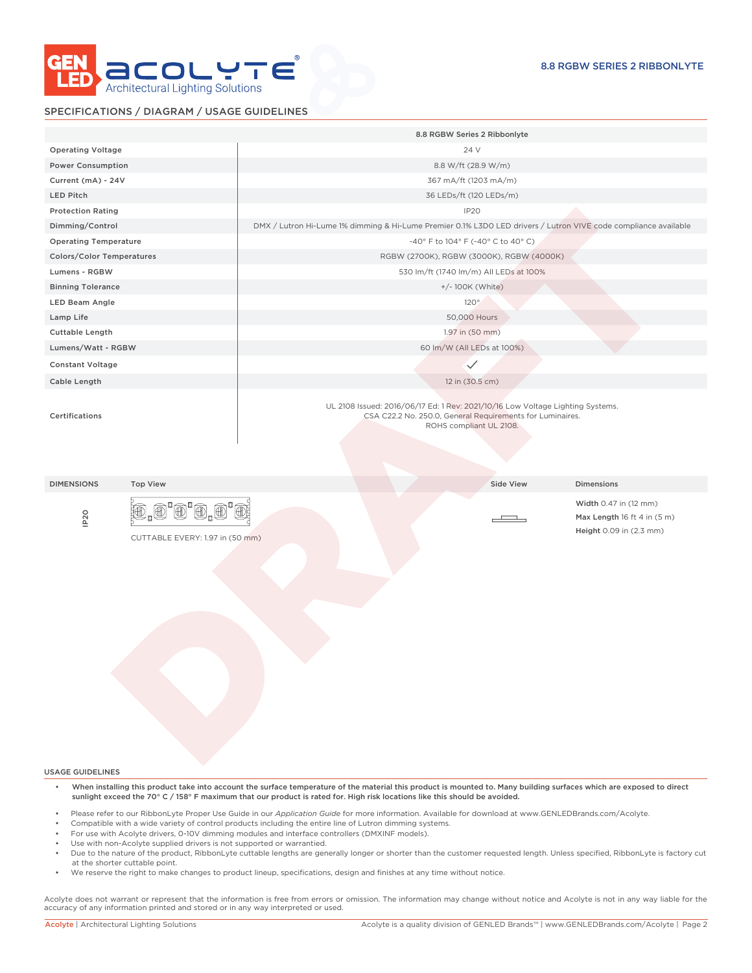

#### SPECIFICATIONS / DIAGRAM / USAGE GUIDELINES

|                                  |                                                  |                                                                                                                 | 8.8 RGBW Series 2 Ribbonlyte                                                         |                                                                                             |  |  |  |
|----------------------------------|--------------------------------------------------|-----------------------------------------------------------------------------------------------------------------|--------------------------------------------------------------------------------------|---------------------------------------------------------------------------------------------|--|--|--|
| <b>Operating Voltage</b>         |                                                  |                                                                                                                 | 24 V                                                                                 |                                                                                             |  |  |  |
| <b>Power Consumption</b>         |                                                  |                                                                                                                 | 8.8 W/ft (28.9 W/m)                                                                  |                                                                                             |  |  |  |
| Current (mA) - 24V               |                                                  |                                                                                                                 | 367 mA/ft (1203 mA/m)                                                                |                                                                                             |  |  |  |
| LED Pitch                        |                                                  |                                                                                                                 | 36 LEDs/ft (120 LEDs/m)                                                              |                                                                                             |  |  |  |
| <b>Protection Rating</b>         |                                                  |                                                                                                                 | IP <sub>20</sub>                                                                     |                                                                                             |  |  |  |
| Dimming/Control                  |                                                  | DMX / Lutron Hi-Lume 1% dimming & Hi-Lume Premier 0.1% L3D0 LED drivers / Lutron VIVE code compliance available |                                                                                      |                                                                                             |  |  |  |
| <b>Operating Temperature</b>     |                                                  | $-40^{\circ}$ F to $104^{\circ}$ F ( $-40^{\circ}$ C to $40^{\circ}$ C)                                         |                                                                                      |                                                                                             |  |  |  |
| <b>Colors/Color Temperatures</b> |                                                  | RGBW (2700K), RGBW (3000K), RGBW (4000K)                                                                        |                                                                                      |                                                                                             |  |  |  |
| Lumens - RGBW                    |                                                  |                                                                                                                 | 530 lm/ft (1740 lm/m) All LEDs at 100%                                               |                                                                                             |  |  |  |
| <b>Binning Tolerance</b>         |                                                  | +/- 100K (White)                                                                                                |                                                                                      |                                                                                             |  |  |  |
| LED Beam Angle                   |                                                  |                                                                                                                 | $120^\circ$                                                                          |                                                                                             |  |  |  |
| Lamp Life                        |                                                  |                                                                                                                 | 50,000 Hours                                                                         |                                                                                             |  |  |  |
| Cuttable Length                  |                                                  |                                                                                                                 | 1.97 in (50 mm)                                                                      |                                                                                             |  |  |  |
| Lumens/Watt - RGBW               |                                                  |                                                                                                                 | 60 lm/W (All LEDs at 100%)                                                           |                                                                                             |  |  |  |
| <b>Constant Voltage</b>          |                                                  |                                                                                                                 | $\checkmark$                                                                         |                                                                                             |  |  |  |
| Cable Length                     |                                                  |                                                                                                                 | 12 in (30.5 cm)                                                                      |                                                                                             |  |  |  |
| Certifications                   |                                                  |                                                                                                                 | CSA C22.2 No. 250.0, General Requirements for Luminaires.<br>ROHS compliant UL 2108. |                                                                                             |  |  |  |
| <b>DIMENSIONS</b>                | <b>Top View</b>                                  |                                                                                                                 | Side View                                                                            | Dimensions                                                                                  |  |  |  |
| IP <sub>20</sub>                 | 1,0'0'0.<br>廽<br>CUTTABLE EVERY: 1.97 in (50 mm) |                                                                                                                 |                                                                                      | Width 0.47 in (12 mm)<br>Max Length $16$ ft 4 in $(5 \text{ m})$<br>Height 0.09 in (2.3 mm) |  |  |  |
|                                  |                                                  |                                                                                                                 |                                                                                      |                                                                                             |  |  |  |
| <b>USAGE GUIDELINES</b>          |                                                  |                                                                                                                 |                                                                                      |                                                                                             |  |  |  |

- Please refer to our RibbonLyte Proper Use Guide in our *Application Guide* for more information. Available for download at www.GENLEDBrands.com/Acolyte.
- Compatible with a wide variety of control products including the entire line of Lutron dimming systems.
- For use with Acolyte drivers, 0-10V dimming modules and interface controllers (DMXINF models).<br>• Lise with non-Acolyte supplied drivers is not supported or warrantied
- Use with non-Acolyte supplied drivers is not supported or warrantied.
- Due to the nature of the product, RibbonLyte cuttable lengths are generally longer or shorter than the customer requested length. Unless specified, RibbonLyte is factory cut at the shorter cuttable point.
- We reserve the right to make changes to product lineup, specifications, design and finishes at any time without notice.

Acolyte does not warrant or represent that the information is free from errors or omission. The information may change without notice and Acolyte is not in any way liable for the accuracy of any information printed and stored or in any way interpreted or used.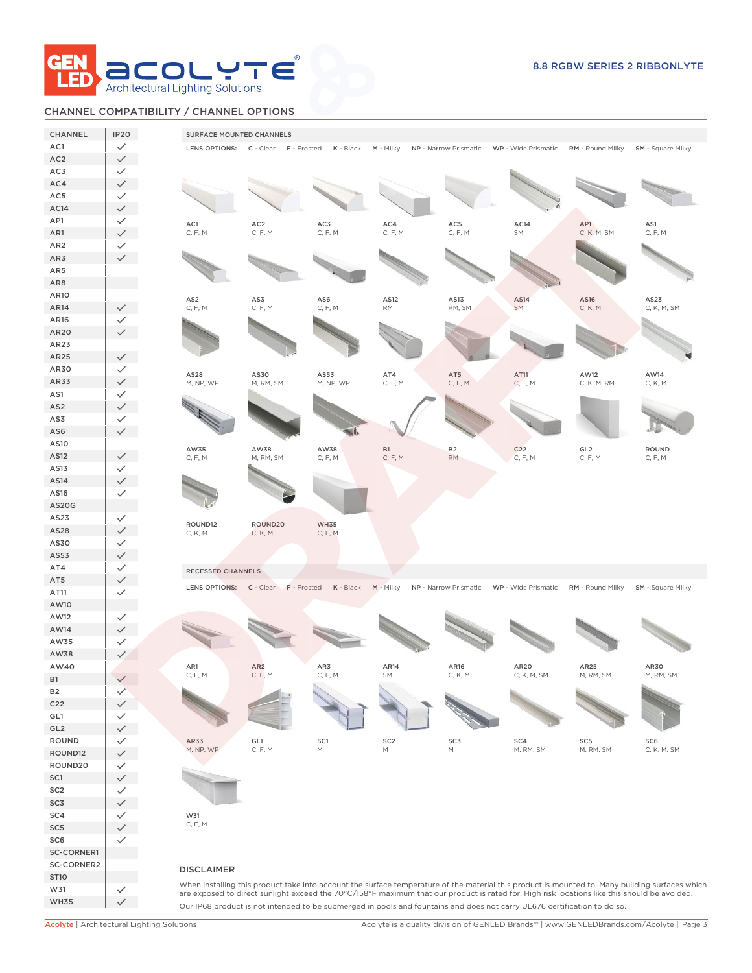

# CHANNEL COMPATIBILITY / CHANNEL OPTIONS

| <b>CHANNEL</b>         | <b>IP20</b>                  | SURFACE MOUNTED CHANNELS   |                                     |                        |                                                                                                                                              |                |                 |                                                                              |                                                                                                                                                 |
|------------------------|------------------------------|----------------------------|-------------------------------------|------------------------|----------------------------------------------------------------------------------------------------------------------------------------------|----------------|-----------------|------------------------------------------------------------------------------|-------------------------------------------------------------------------------------------------------------------------------------------------|
| AC1                    | $\checkmark$                 |                            | LENS OPTIONS: C - Clear F - Frosted |                        | K - Black M - Milky NP - Narrow Prismatic WP - Wide Prismatic RM - Round Milky SM - Square Milky                                             |                |                 |                                                                              |                                                                                                                                                 |
| AC <sub>2</sub>        | $\checkmark$                 |                            |                                     |                        |                                                                                                                                              |                |                 |                                                                              |                                                                                                                                                 |
| AC3                    | $\checkmark$                 |                            |                                     |                        |                                                                                                                                              |                |                 |                                                                              |                                                                                                                                                 |
| AC4                    | $\checkmark$                 |                            |                                     |                        |                                                                                                                                              |                |                 |                                                                              |                                                                                                                                                 |
| AC5                    | $\checkmark$                 |                            |                                     |                        |                                                                                                                                              |                |                 |                                                                              |                                                                                                                                                 |
| AC14                   | $\checkmark$                 |                            |                                     |                        |                                                                                                                                              |                |                 |                                                                              |                                                                                                                                                 |
| AP1                    | $\checkmark$                 | AC1<br>C, F, M             | AC <sub>2</sub><br>C, F, M          | AC3<br>C, F, M         | AC4<br>C, F, M                                                                                                                               | AC5<br>C, F, M | AC14<br>SM      | AP1<br>C, K, M, SM                                                           | AS1<br>C, F, M                                                                                                                                  |
| AR1<br>AR <sub>2</sub> | $\checkmark$                 |                            |                                     |                        |                                                                                                                                              |                |                 |                                                                              |                                                                                                                                                 |
| AR3                    | $\checkmark$<br>$\checkmark$ |                            |                                     |                        |                                                                                                                                              |                |                 |                                                                              |                                                                                                                                                 |
| AR5                    |                              |                            |                                     |                        |                                                                                                                                              |                |                 |                                                                              |                                                                                                                                                 |
| AR8                    |                              |                            |                                     |                        |                                                                                                                                              |                |                 |                                                                              |                                                                                                                                                 |
| AR10                   |                              |                            |                                     |                        |                                                                                                                                              |                |                 |                                                                              |                                                                                                                                                 |
| AR14                   | $\checkmark$                 | AS <sub>2</sub><br>C, F, M | AS3<br>C, F, M                      | AS6<br>C, F, M         | AS12<br>$\mathsf{RM}$                                                                                                                        | AS13<br>RM, SM | AS14<br>SM      | AS16<br>C, K, M                                                              | AS23<br>C, K, M, SM                                                                                                                             |
| AR16                   | $\checkmark$                 |                            |                                     |                        |                                                                                                                                              |                |                 |                                                                              |                                                                                                                                                 |
| AR20                   | $\checkmark$                 |                            |                                     |                        |                                                                                                                                              |                |                 |                                                                              |                                                                                                                                                 |
| AR23                   |                              |                            |                                     |                        |                                                                                                                                              |                |                 |                                                                              |                                                                                                                                                 |
| AR25                   | $\checkmark$                 |                            |                                     |                        |                                                                                                                                              |                |                 |                                                                              |                                                                                                                                                 |
| AR30                   | $\checkmark$                 | AS28                       | AS30                                | AS53                   | AT4                                                                                                                                          | AT5            | AT11            | AW12                                                                         | AW14                                                                                                                                            |
| AR33                   | $\checkmark$                 | M, NP, WP                  | M, RM, SM                           | M, NP, WP              | C, F, M                                                                                                                                      | C, F, M        | C, F, M         | C, K, M, RM                                                                  | C, K, M                                                                                                                                         |
| AS1                    | $\checkmark$                 |                            |                                     |                        |                                                                                                                                              |                |                 |                                                                              |                                                                                                                                                 |
| AS <sub>2</sub>        | $\checkmark$                 |                            |                                     |                        |                                                                                                                                              |                |                 |                                                                              |                                                                                                                                                 |
| AS3                    | $\checkmark$                 |                            |                                     |                        |                                                                                                                                              |                |                 |                                                                              |                                                                                                                                                 |
| AS6                    | $\checkmark$                 |                            |                                     |                        |                                                                                                                                              |                |                 |                                                                              |                                                                                                                                                 |
| AS10<br>AS12           |                              | AW35                       | AW38                                | AW38                   | <b>B1</b>                                                                                                                                    | <b>B2</b>      | C <sub>22</sub> | GL <sub>2</sub>                                                              | <b>ROUND</b>                                                                                                                                    |
| AS13                   | $\checkmark$<br>$\checkmark$ | C, F, M                    | M, RM, SM                           | C, F, M                | C, F, M                                                                                                                                      | <b>RM</b>      | C, F, M         | C, F, M                                                                      | C, F, M                                                                                                                                         |
| AS14                   | $\checkmark$                 |                            |                                     |                        |                                                                                                                                              |                |                 |                                                                              |                                                                                                                                                 |
| AS16                   | $\checkmark$                 |                            |                                     |                        |                                                                                                                                              |                |                 |                                                                              |                                                                                                                                                 |
| <b>AS20G</b>           |                              |                            |                                     |                        |                                                                                                                                              |                |                 |                                                                              |                                                                                                                                                 |
| AS23                   | $\checkmark$                 |                            |                                     |                        |                                                                                                                                              |                |                 |                                                                              |                                                                                                                                                 |
| AS28                   | $\checkmark$                 | ROUND12<br>C, K, M         | ROUND20<br>C, K, M                  | <b>WH35</b><br>C, F, M |                                                                                                                                              |                |                 |                                                                              |                                                                                                                                                 |
| AS30                   | $\checkmark$                 |                            |                                     |                        |                                                                                                                                              |                |                 |                                                                              |                                                                                                                                                 |
| AS53                   | $\checkmark$                 |                            |                                     |                        |                                                                                                                                              |                |                 |                                                                              |                                                                                                                                                 |
| AT4                    | $\checkmark$                 | RECESSED CHANNELS          |                                     |                        |                                                                                                                                              |                |                 |                                                                              |                                                                                                                                                 |
| AT5                    | $\checkmark$                 |                            | LENS OPTIONS: C - Clear F - Frosted | K - Black              | $M -$ Milky                                                                                                                                  |                |                 | NP - Narrow Prismatic WP - Wide Prismatic RM - Round Milky SM - Square Milky |                                                                                                                                                 |
| AT11                   | $\checkmark$                 |                            |                                     |                        |                                                                                                                                              |                |                 |                                                                              |                                                                                                                                                 |
| AW10                   |                              |                            |                                     |                        |                                                                                                                                              |                |                 |                                                                              |                                                                                                                                                 |
| AW12                   | $\checkmark$                 |                            |                                     |                        |                                                                                                                                              |                |                 |                                                                              |                                                                                                                                                 |
| AW14                   | $\checkmark$                 |                            |                                     |                        |                                                                                                                                              |                |                 |                                                                              |                                                                                                                                                 |
| AW35                   | $\checkmark$                 |                            |                                     |                        |                                                                                                                                              |                |                 |                                                                              |                                                                                                                                                 |
| AW38<br>AW40           | $\checkmark$                 | AR1                        | AR <sub>2</sub>                     | AR3                    | AR14                                                                                                                                         | AR16           | AR20            | AR25                                                                         | AR30                                                                                                                                            |
| <b>B1</b>              | $\checkmark$                 | C, F, M                    | C, F, M                             | C, F, M                |                                                                                                                                              | C, K, M        | C, K, M, SM     | M, RM, SM                                                                    | M, RM, SM                                                                                                                                       |
| <b>B2</b>              | $\checkmark$                 |                            |                                     |                        |                                                                                                                                              |                |                 |                                                                              |                                                                                                                                                 |
| C <sub>22</sub>        | $\checkmark$                 |                            |                                     |                        |                                                                                                                                              |                |                 |                                                                              |                                                                                                                                                 |
| GL1                    | $\checkmark$                 |                            |                                     |                        |                                                                                                                                              |                |                 |                                                                              |                                                                                                                                                 |
| GL2                    | $\checkmark$                 |                            |                                     |                        |                                                                                                                                              |                |                 |                                                                              |                                                                                                                                                 |
| ROUND                  | $\checkmark$                 | AR33                       | GL1                                 | SC1                    | SC <sub>2</sub>                                                                                                                              | SC3            | SC4             | SC <sub>5</sub>                                                              | SC <sub>6</sub>                                                                                                                                 |
| ROUND12                | $\checkmark$                 | M, NP, WP                  | C, F, M                             | М                      | $\mathsf{M}% _{T}=\mathsf{M}_{T}\!\left( a,b\right) ,\ \mathsf{M}_{T}=\mathsf{M}_{T}\!\left( a,b\right) ,$                                   | М              | M, RM, SM       | M, RM, SM                                                                    | C, K, M, SM                                                                                                                                     |
| ROUND20                | $\checkmark$                 |                            |                                     |                        |                                                                                                                                              |                |                 |                                                                              |                                                                                                                                                 |
| SC1                    | $\checkmark$                 |                            |                                     |                        |                                                                                                                                              |                |                 |                                                                              |                                                                                                                                                 |
| SC <sub>2</sub>        | $\checkmark$                 |                            |                                     |                        |                                                                                                                                              |                |                 |                                                                              |                                                                                                                                                 |
| SC3                    | $\checkmark$                 |                            |                                     |                        |                                                                                                                                              |                |                 |                                                                              |                                                                                                                                                 |
| SC4                    | $\checkmark$                 | W31                        |                                     |                        |                                                                                                                                              |                |                 |                                                                              |                                                                                                                                                 |
| SC <sub>5</sub>        | $\checkmark$                 | C, F, M                    |                                     |                        |                                                                                                                                              |                |                 |                                                                              |                                                                                                                                                 |
| SC6                    | $\checkmark$                 |                            |                                     |                        |                                                                                                                                              |                |                 |                                                                              |                                                                                                                                                 |
| <b>SC-CORNER1</b>      |                              |                            |                                     |                        |                                                                                                                                              |                |                 |                                                                              |                                                                                                                                                 |
| SC-CORNER2             |                              | <b>DISCLAIMER</b>          |                                     |                        |                                                                                                                                              |                |                 |                                                                              |                                                                                                                                                 |
| <b>ST10</b>            |                              |                            |                                     |                        |                                                                                                                                              |                |                 |                                                                              | When installing this product take into account the surface temperature of the material this product is mounted to. Many building surfaces which |
| W31                    | $\checkmark$                 |                            |                                     |                        | are exposed to direct sunlight exceed the 70°C/158°F maximum that our product is rated for. High risk locations like this should be avoided. |                |                 |                                                                              |                                                                                                                                                 |
| <b>WH35</b>            | $\checkmark$                 |                            |                                     |                        | Our IP68 product is not intended to be submerged in pools and fountains and does not carry UL676 certification to do so.                     |                |                 |                                                                              |                                                                                                                                                 |

Acolyte | Architectural Lighting Solutions Acolyte is a quality division of GENLED Brands™ | www.GENLEDBrands.com/Acolyte | Page 3